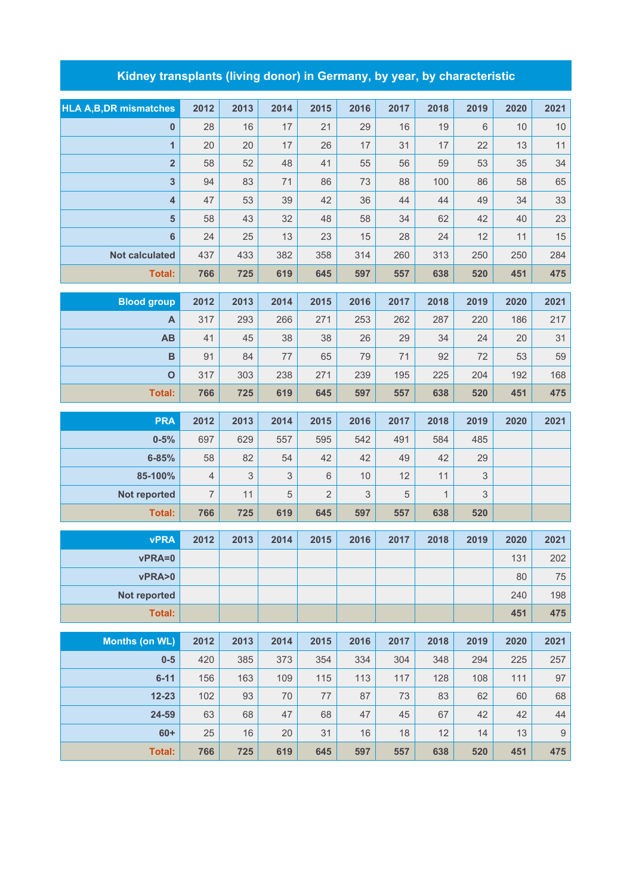## **Kidney transplants (living donor) in Germany, by year, by characteristic**

| <b>HLA A, B, DR mismatches</b> | 2012           | 2013        | 2014 | 2015           | 2016 | 2017 | 2018         | 2019 | 2020 | 2021             |
|--------------------------------|----------------|-------------|------|----------------|------|------|--------------|------|------|------------------|
| $\mathbf{0}$                   | 28             | 16          | 17   | 21             | 29   | 16   | 19           | 6    | 10   | $10$             |
| $\mathbf{1}$                   | 20             | 20          | 17   | 26             | 17   | 31   | 17           | 22   | 13   | 11               |
| $\overline{2}$                 | 58             | 52          | 48   | 41             | 55   | 56   | 59           | 53   | 35   | 34               |
| $\overline{\mathbf{3}}$        | 94             | 83          | 71   | 86             | 73   | 88   | 100          | 86   | 58   | 65               |
| $\overline{\mathbf{4}}$        | 47             | 53          | 39   | 42             | 36   | 44   | 44           | 49   | 34   | 33               |
| $5\phantom{1}$                 | 58             | 43          | 32   | 48             | 58   | 34   | 62           | 42   | 40   | 23               |
| $\boldsymbol{6}$               | 24             | 25          | 13   | 23             | 15   | 28   | 24           | 12   | 11   | 15               |
| <b>Not calculated</b>          | 437            | 433         | 382  | 358            | 314  | 260  | 313          | 250  | 250  | 284              |
| <b>Total:</b>                  | 766            | 725         | 619  | 645            | 597  | 557  | 638          | 520  | 451  | 475              |
| <b>Blood group</b>             | 2012           | 2013        | 2014 | 2015           | 2016 | 2017 | 2018         | 2019 | 2020 | 2021             |
| A                              | 317            | 293         | 266  | 271            | 253  | 262  | 287          | 220  | 186  | 217              |
| AB                             | 41             | 45          | 38   | 38             | 26   | 29   | 34           | 24   | 20   | 31               |
| $\, {\bf B}$                   | 91             | 84          | 77   | 65             | 79   | 71   | 92           | 72   | 53   | 59               |
| $\mathbf{o}$                   | 317            | 303         | 238  | 271            | 239  | 195  | 225          | 204  | 192  | 168              |
| <b>Total:</b>                  | 766            | 725         | 619  | 645            | 597  | 557  | 638          | 520  | 451  | 475              |
| <b>PRA</b>                     | 2012           | 2013        | 2014 | 2015           | 2016 | 2017 | 2018         | 2019 | 2020 | 2021             |
| $0 - 5%$                       | 697            | 629         | 557  | 595            | 542  | 491  | 584          | 485  |      |                  |
| $6 - 85%$                      | 58             | 82          | 54   | 42             | 42   | 49   | 42           | 29   |      |                  |
| 85-100%                        | $\overline{4}$ | $\mathsf 3$ | 3    | $6\,$          | 10   | 12   | 11           | 3    |      |                  |
| Not reported                   | $\overline{7}$ | 11          | 5    | $\overline{2}$ | 3    | 5    | $\mathbf{1}$ | 3    |      |                  |
| Total:                         | 766            | 725         | 619  | 645            | 597  | 557  | 638          | 520  |      |                  |
| <b>vPRA</b>                    | 2012           | 2013        | 2014 | 2015           | 2016 | 2017 | 2018         | 2019 | 2020 | 2021             |
| vPRA=0                         |                |             |      |                |      |      |              |      | 131  | 202              |
| vPRA>0                         |                |             |      |                |      |      |              |      | 80   | $75\,$           |
| Not reported                   |                |             |      |                |      |      |              |      | 240  | 198              |
| <b>Total:</b>                  |                |             |      |                |      |      |              |      | 451  | 475              |
|                                |                |             |      |                |      |      |              |      |      |                  |
| <b>Months (on WL)</b>          | 2012           | 2013        | 2014 | 2015           | 2016 | 2017 | 2018         | 2019 | 2020 | 2021             |
| $0-5$                          | 420            | 385         | 373  | 354            | 334  | 304  | 348          | 294  | 225  | 257              |
| $6 - 11$                       | 156            | 163         | 109  | 115            | 113  | 117  | 128          | 108  | 111  | 97               |
| $12 - 23$                      | 102            | 93          | 70   | 77             | 87   | 73   | 83           | 62   | 60   | 68               |
| 24-59                          | 63             | 68          | 47   | 68             | 47   | 45   | 67           | 42   | 42   | 44               |
| $60+$                          | 25             | 16          | 20   | 31             | 16   | 18   | 12           | 14   | 13   | $\boldsymbol{9}$ |
| <b>Total:</b>                  | 766            | 725         | 619  | 645            | 597  | 557  | 638          | 520  | 451  | 475              |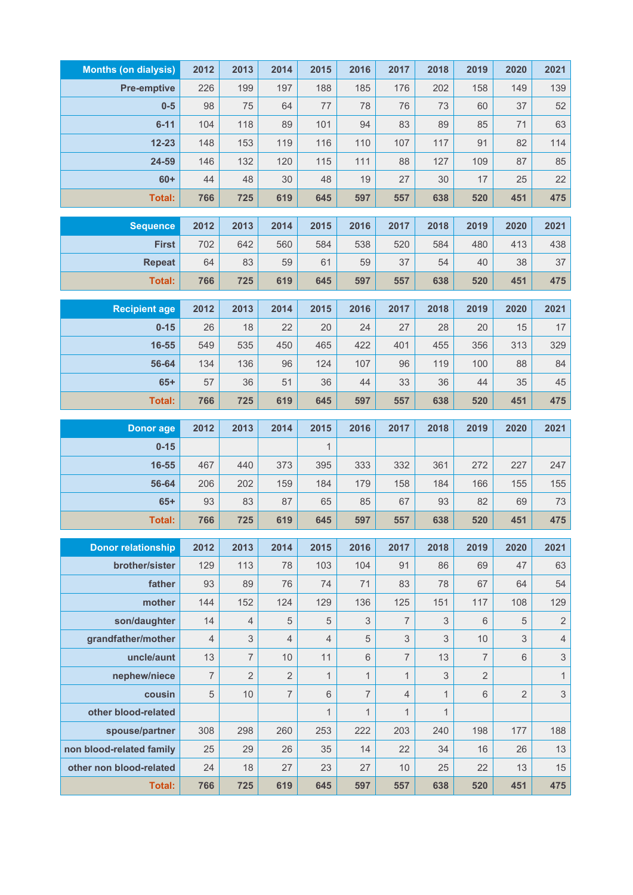| <b>Months (on dialysis)</b> | 2012           | 2013           | 2014           | 2015           | 2016           | 2017           | 2018         | 2019           | 2020           | 2021                      |
|-----------------------------|----------------|----------------|----------------|----------------|----------------|----------------|--------------|----------------|----------------|---------------------------|
| <b>Pre-emptive</b>          | 226            | 199            | 197            | 188            | 185            | 176            | 202          | 158            | 149            | 139                       |
| $0-5$                       | 98             | 75             | 64             | 77             | 78             | 76             | 73           | 60             | 37             | 52                        |
| $6 - 11$                    | 104            | 118            | 89             | 101            | 94             | 83             | 89           | 85             | 71             | 63                        |
| $12 - 23$                   | 148            | 153            | 119            | 116            | 110            | 107            | 117          | 91             | 82             | 114                       |
| 24-59                       | 146            | 132            | 120            | 115            | 111            | 88             | 127          | 109            | 87             | 85                        |
| $60+$                       | 44             | 48             | 30             | 48             | 19             | 27             | 30           | 17             | 25             | 22                        |
| <b>Total:</b>               | 766            | 725            | 619            | 645            | 597            | 557            | 638          | 520            | 451            | 475                       |
| <b>Sequence</b>             | 2012           | 2013           | 2014           | 2015           | 2016           | 2017           | 2018         | 2019           | 2020           | 2021                      |
| <b>First</b>                | 702            | 642            | 560            | 584            | 538            | 520            | 584          | 480            | 413            | 438                       |
| <b>Repeat</b>               | 64             | 83             | 59             | 61             | 59             | 37             | 54           | 40             | 38             | 37                        |
| <b>Total:</b>               | 766            | 725            | 619            | 645            | 597            | 557            | 638          | 520            | 451            | 475                       |
| <b>Recipient age</b>        | 2012           | 2013           | 2014           | 2015           | 2016           | 2017           | 2018         | 2019           | 2020           | 2021                      |
| $0 - 15$                    | 26             | 18             | 22             | 20             | 24             | 27             | 28           | 20             | 15             | 17                        |
| 16-55                       | 549            | 535            | 450            | 465            | 422            | 401            | 455          | 356            | 313            | 329                       |
| 56-64                       | 134            | 136            | 96             | 124            | 107            | 96             | 119          | 100            | 88             | 84                        |
| $65+$                       | 57             | 36             | 51             | 36             | 44             | 33             | 36           | 44             | 35             | 45                        |
| <b>Total:</b>               | 766            | 725            | 619            | 645            | 597            | 557            | 638          | 520            | 451            | 475                       |
|                             |                |                |                |                |                |                |              |                |                |                           |
| <b>Donor</b> age            | 2012           | 2013           | 2014           | 2015           | 2016           | 2017           | 2018         | 2019           | 2020           | 2021                      |
| $0 - 15$                    |                |                |                | $\mathbf{1}$   |                |                |              |                |                |                           |
| 16-55                       | 467            | 440            | 373            | 395            | 333            | 332            | 361          | 272            | 227            | 247                       |
| 56-64                       | 206            | 202            | 159            | 184            | 179            | 158            | 184          | 166            | 155            | 155                       |
| $65+$                       | 93             | 83             | 87             | 65             | 85             | 67             | 93           | 82             | 69             | 73                        |
| Total:                      | 766            | 725            | 619            | 645            | 597            | 557            | 638          | 520            | 451            | 475                       |
| <b>Donor relationship</b>   | 2012           | 2013           | 2014           | 2015           | 2016           | 2017           | 2018         | 2019           | 2020           | 2021                      |
| brother/sister              | 129            | 113            | 78             | 103            | 104            | 91             | 86           | 69             | 47             | 63                        |
| father                      | 93             | 89             | 76             | 74             | 71             | 83             | 78           | 67             | 64             | 54                        |
| mother                      | 144            | 152            | 124            | 129            | 136            | 125            | 151          | 117            | 108            | 129                       |
| son/daughter                | 14             | 4              | 5              | 5              | 3              | $\overline{7}$ | 3            | 6              | 5              | $\sqrt{2}$                |
| grandfather/mother          | $\overline{4}$ | 3              | $\overline{4}$ | $\overline{4}$ | 5              | 3              | 3            | 10             | 3              | $\overline{4}$            |
| uncle/aunt                  | 13             | 7              | 10             | 11             | $6\,$          | $\overline{7}$ | 13           | $\overline{7}$ | 6              | $\ensuremath{\mathsf{3}}$ |
| nephew/niece                | $\overline{7}$ | $\overline{2}$ | $\overline{2}$ | $\mathbf{1}$   | $\mathbf{1}$   | $\mathbf{1}$   | 3            | $\overline{2}$ |                | $\mathbf{1}$              |
| cousin                      | 5              | 10             | $\overline{7}$ | $6\,$          | $\overline{7}$ | $\overline{4}$ | $\mathbf{1}$ | 6              | $\overline{2}$ | $\ensuremath{\mathsf{3}}$ |
| other blood-related         |                |                |                | 1              | $\mathbf{1}$   | $\mathbf{1}$   | $\mathbf{1}$ |                |                |                           |
| spouse/partner              | 308            | 298            | 260            | 253            | 222            | 203            | 240          | 198            | 177            | 188                       |
| non blood-related family    | 25             | 29             | 26             | 35             | 14             | 22             | 34           | 16             | 26             | 13                        |
| other non blood-related     | 24             | 18             | 27             | 23             | 27             | 10             | 25           | 22             | 13             | 15                        |
| <b>Total:</b>               | 766            | 725            | 619            | 645            | 597            | 557            | 638          | 520            | 451            | 475                       |